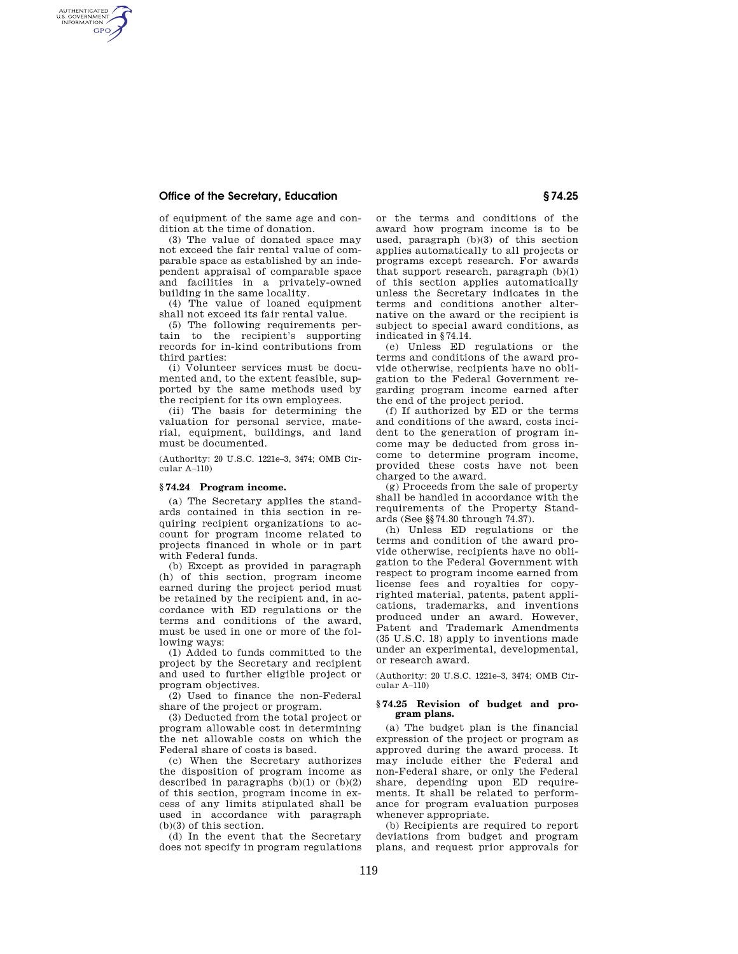# **Office of the Secretary, Education § 74.25**

AUTHENTICATED<br>U.S. GOVERNMENT<br>INFORMATION **GPO** 

of equipment of the same age and condition at the time of donation.

(3) The value of donated space may not exceed the fair rental value of comparable space as established by an independent appraisal of comparable space and facilities in a privately-owned building in the same locality.

(4) The value of loaned equipment shall not exceed its fair rental value.

(5) The following requirements pertain to the recipient's supporting records for in-kind contributions from third parties:

(i) Volunteer services must be documented and, to the extent feasible, supported by the same methods used by the recipient for its own employees.

(ii) The basis for determining the valuation for personal service, material, equipment, buildings, and land must be documented.

(Authority: 20 U.S.C. 1221e–3, 3474; OMB Cir- $\text{cular } A=110$ 

### **§ 74.24 Program income.**

(a) The Secretary applies the standards contained in this section in requiring recipient organizations to account for program income related to projects financed in whole or in part with Federal funds.

(b) Except as provided in paragraph (h) of this section, program income earned during the project period must be retained by the recipient and, in accordance with ED regulations or the terms and conditions of the award, must be used in one or more of the following ways:

(1) Added to funds committed to the project by the Secretary and recipient and used to further eligible project or program objectives.

(2) Used to finance the non-Federal share of the project or program.

(3) Deducted from the total project or program allowable cost in determining the net allowable costs on which the Federal share of costs is based.

(c) When the Secretary authorizes the disposition of program income as described in paragraphs  $(b)(1)$  or  $(b)(2)$ of this section, program income in excess of any limits stipulated shall be used in accordance with paragraph (b)(3) of this section.

(d) In the event that the Secretary does not specify in program regulations or the terms and conditions of the award how program income is to be used, paragraph (b)(3) of this section applies automatically to all projects or programs except research. For awards that support research, paragraph  $(b)(1)$ of this section applies automatically unless the Secretary indicates in the terms and conditions another alternative on the award or the recipient is subject to special award conditions, as indicated in §74.14.

(e) Unless ED regulations or the terms and conditions of the award provide otherwise, recipients have no obligation to the Federal Government regarding program income earned after the end of the project period.

(f) If authorized by ED or the terms and conditions of the award, costs incident to the generation of program income may be deducted from gross income to determine program income, provided these costs have not been charged to the award.

(g) Proceeds from the sale of property shall be handled in accordance with the requirements of the Property Standards (See §§74.30 through 74.37).

(h) Unless ED regulations or the terms and condition of the award provide otherwise, recipients have no obligation to the Federal Government with respect to program income earned from license fees and royalties for copyrighted material, patents, patent applications, trademarks, and inventions produced under an award. However, Patent and Trademark Amendments (35 U.S.C. 18) apply to inventions made under an experimental, developmental, or research award.

(Authority: 20 U.S.C. 1221e–3, 3474; OMB Circular A–110)

## **§ 74.25 Revision of budget and program plans.**

(a) The budget plan is the financial expression of the project or program as approved during the award process. It may include either the Federal and non-Federal share, or only the Federal share, depending upon ED requirements. It shall be related to performance for program evaluation purposes whenever appropriate.

(b) Recipients are required to report deviations from budget and program plans, and request prior approvals for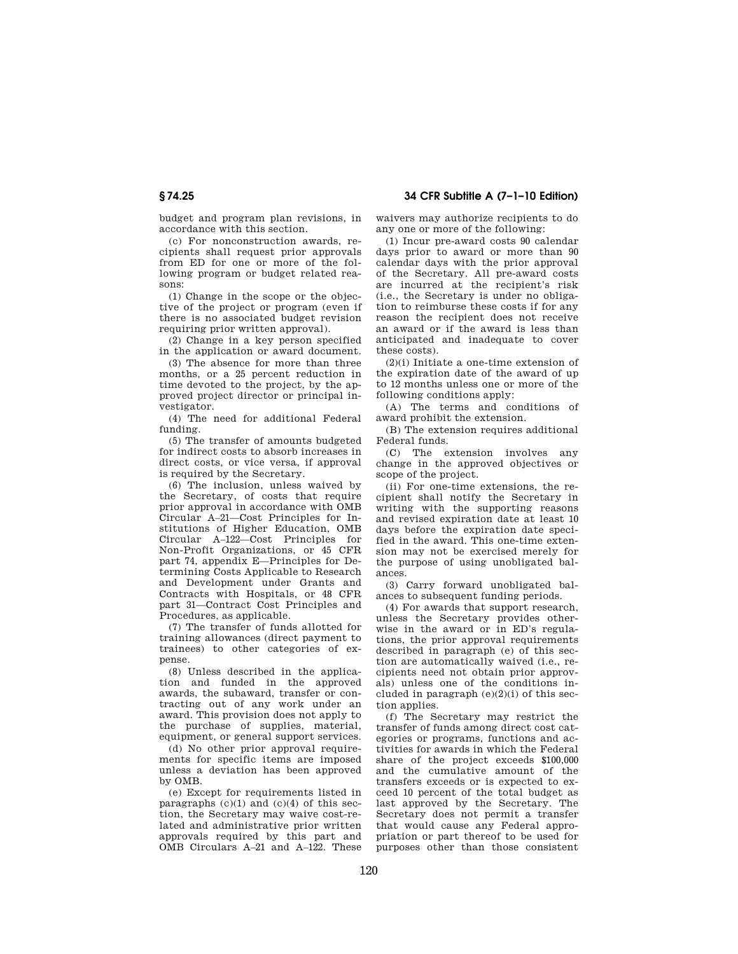budget and program plan revisions, in accordance with this section.

(c) For nonconstruction awards, recipients shall request prior approvals from ED for one or more of the following program or budget related reasons:

(1) Change in the scope or the objective of the project or program (even if there is no associated budget revision requiring prior written approval).

(2) Change in a key person specified in the application or award document.

(3) The absence for more than three months, or a 25 percent reduction in time devoted to the project, by the approved project director or principal investigator.

(4) The need for additional Federal funding.

(5) The transfer of amounts budgeted for indirect costs to absorb increases in direct costs, or vice versa, if approval is required by the Secretary.

(6) The inclusion, unless waived by the Secretary, of costs that require prior approval in accordance with OMB Circular A–21—Cost Principles for Institutions of Higher Education, OMB Circular A–122—Cost Principles for Non-Profit Organizations, or 45 CFR part 74, appendix E—Principles for Determining Costs Applicable to Research and Development under Grants and Contracts with Hospitals, or 48 CFR part 31—Contract Cost Principles and Procedures, as applicable.

(7) The transfer of funds allotted for training allowances (direct payment to trainees) to other categories of expense.

(8) Unless described in the application and funded in the approved awards, the subaward, transfer or contracting out of any work under an award. This provision does not apply to the purchase of supplies, material, equipment, or general support services.

(d) No other prior approval requirements for specific items are imposed unless a deviation has been approved by OMB.

(e) Except for requirements listed in paragraphs  $(c)(1)$  and  $(c)(4)$  of this section, the Secretary may waive cost-related and administrative prior written approvals required by this part and OMB Circulars A–21 and A–122. These waivers may authorize recipients to do any one or more of the following:

(1) Incur pre-award costs 90 calendar days prior to award or more than 90 calendar days with the prior approval of the Secretary. All pre-award costs are incurred at the recipient's risk (i.e., the Secretary is under no obligation to reimburse these costs if for any reason the recipient does not receive an award or if the award is less than anticipated and inadequate to cover these costs).

(2)(i) Initiate a one-time extension of the expiration date of the award of up to 12 months unless one or more of the following conditions apply:

(A) The terms and conditions of award prohibit the extension.

(B) The extension requires additional Federal funds.

(C) The extension involves any change in the approved objectives or scope of the project.

(ii) For one-time extensions, the recipient shall notify the Secretary in writing with the supporting reasons and revised expiration date at least 10 days before the expiration date specified in the award. This one-time extension may not be exercised merely for the purpose of using unobligated balances.

(3) Carry forward unobligated balances to subsequent funding periods.

(4) For awards that support research, unless the Secretary provides otherwise in the award or in ED's regulations, the prior approval requirements described in paragraph (e) of this section are automatically waived (i.e., recipients need not obtain prior approvals) unless one of the conditions included in paragraph  $(e)(2)(i)$  of this section applies.

(f) The Secretary may restrict the transfer of funds among direct cost categories or programs, functions and activities for awards in which the Federal share of the project exceeds \$100,000 and the cumulative amount of the transfers exceeds or is expected to exceed 10 percent of the total budget as last approved by the Secretary. The Secretary does not permit a transfer that would cause any Federal appropriation or part thereof to be used for purposes other than those consistent